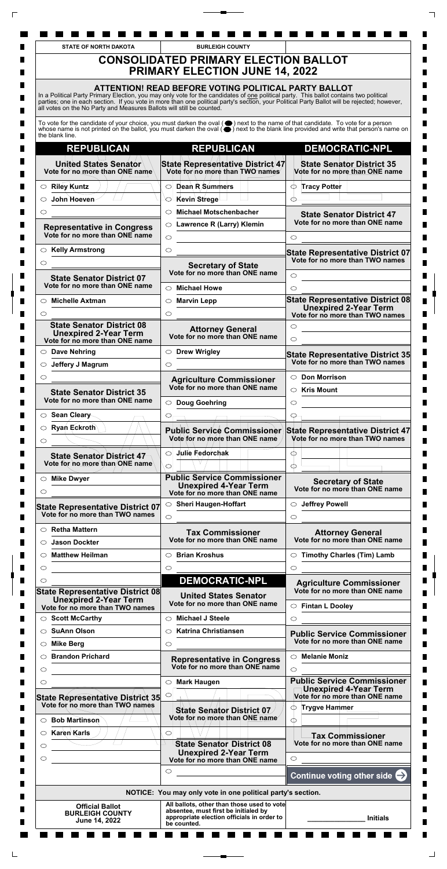| <b>STATE OF NORTH DAKOTA</b>                                                                       | <b>BURLEIGH COUNTY</b>                                                                                                                                                                                                                                                                                                                         |                                                                                                                                                                                                                              |
|----------------------------------------------------------------------------------------------------|------------------------------------------------------------------------------------------------------------------------------------------------------------------------------------------------------------------------------------------------------------------------------------------------------------------------------------------------|------------------------------------------------------------------------------------------------------------------------------------------------------------------------------------------------------------------------------|
|                                                                                                    | <b>CONSOLIDATED PRIMARY ELECTION BALLOT</b><br><b>PRIMARY ELECTION JUNE 14, 2022</b>                                                                                                                                                                                                                                                           |                                                                                                                                                                                                                              |
| all votes on the No Party and Measures Ballots will still be counted.                              | ATTENTION! READ BEFORE VOTING POLITICAL PARTY BALLOT<br>In a Political Party Primary Election, you may only vote for the candidates of one political party. This ballot contains two political<br>parties; one in each section. If you vote in more than one political party's section, your Political Party Ballot will be rejected; however, |                                                                                                                                                                                                                              |
| the blank line.                                                                                    |                                                                                                                                                                                                                                                                                                                                                | To vote for the candidate of your choice, you must darken the oval (●) next to the name of that candidate. To vote for a person whose name is not printed on the ballot, you must darken the oval (●) next to the blank line |
| <b>REPUBLICAN</b>                                                                                  | <b>REPUBLICAN</b>                                                                                                                                                                                                                                                                                                                              | <b>DEMOCRATIC-NPL</b>                                                                                                                                                                                                        |
| <b>United States Senator</b><br>Vote for no more than ONE name                                     | State Representative District/47<br>Vote for no more than TWO names                                                                                                                                                                                                                                                                            | <b>State Senator District 35</b><br>Vote for no more than ONE name                                                                                                                                                           |
| $\circ$ Riley Kuntz                                                                                | Dean R Summers<br>$\circ$                                                                                                                                                                                                                                                                                                                      | <b>Tracy Potter</b><br>∩                                                                                                                                                                                                     |
| John Hoeven<br>◯                                                                                   | -Kevin∖Strege                                                                                                                                                                                                                                                                                                                                  |                                                                                                                                                                                                                              |
| ◯                                                                                                  | <b>Michael Motschenbacher</b><br>◯                                                                                                                                                                                                                                                                                                             | <b>State Senator District 47</b>                                                                                                                                                                                             |
| <b>Representative in Congress</b><br>Vote for no more than ONE name                                | ○ Lawrence R (Larry) Klemin<br>$\circ$                                                                                                                                                                                                                                                                                                         | Vote for no more than ONE name<br>$\circ$                                                                                                                                                                                    |
| $\circ$ Kelly Armstrong                                                                            | $\circ$                                                                                                                                                                                                                                                                                                                                        |                                                                                                                                                                                                                              |
| $\circ$                                                                                            |                                                                                                                                                                                                                                                                                                                                                | <b>State Representative District 07</b><br>Vote for no more than TWO names                                                                                                                                                   |
|                                                                                                    | <b>Secretary of State</b><br>Vote for no more than ONE name                                                                                                                                                                                                                                                                                    | $\circ$                                                                                                                                                                                                                      |
| <b>State Senator District 07</b><br>Vote for no more than ONE name                                 | <b>Michael Howe</b><br>$\bigcirc$                                                                                                                                                                                                                                                                                                              | ◯                                                                                                                                                                                                                            |
|                                                                                                    |                                                                                                                                                                                                                                                                                                                                                | <b>State Representative District 08</b>                                                                                                                                                                                      |
| <b>Michelle Axtman</b><br>○.<br>◯                                                                  | <b>Marvin Lepp</b><br>$\circ$<br>$\circlearrowright$                                                                                                                                                                                                                                                                                           | <b>Unexpired 2-Year Term</b><br>Vote for no more than TWO names                                                                                                                                                              |
| <b>State Senator District 08</b><br><b>Unexpired 2-Year Term</b><br>Vote for no more than ONE name | <b>Attorney General</b><br>Vote for no more than ONE name                                                                                                                                                                                                                                                                                      | $\circlearrowright$<br>$\circlearrowright$                                                                                                                                                                                   |
| $\circ$ Dave Nehring                                                                               | <b>Drew Wrigley</b><br>$\circ$                                                                                                                                                                                                                                                                                                                 | State Representative District 35                                                                                                                                                                                             |
| Jeffery J Magrum<br>$\circ$                                                                        | $\circ$                                                                                                                                                                                                                                                                                                                                        | Vote for no more than TWO names                                                                                                                                                                                              |
| $\circ$                                                                                            | <b>Agriculture Commissioner</b>                                                                                                                                                                                                                                                                                                                | <b>Don Morrison</b><br>$\circ$                                                                                                                                                                                               |
| <b>State Senator District 35</b><br>Vote for no more than ONE name                                 | Vote for no more than ONE name<br>○ Doug Goehring                                                                                                                                                                                                                                                                                              | <b>Kris Mount</b><br>$\circ$<br>$\circ$                                                                                                                                                                                      |
| ○ Sean Cleary                                                                                      |                                                                                                                                                                                                                                                                                                                                                | O                                                                                                                                                                                                                            |
| $\circ$ Ryan Eckroth<br>$\circlearrowright$                                                        | <b>Public Service Commissioner</b><br>Vote for no more than ONE name                                                                                                                                                                                                                                                                           | <b>State Representative District 47</b><br>Vote for no more than TWO names                                                                                                                                                   |
| <b>State Senator District 47</b><br>Vote for no more than/ONE name                                 | Julie Fedorchak<br>$\circ$<br>$\circ$                                                                                                                                                                                                                                                                                                          | Œ<br>∩                                                                                                                                                                                                                       |
| $\circ$ Mike Dwyer                                                                                 | <b>Public Service Commissioner</b>                                                                                                                                                                                                                                                                                                             |                                                                                                                                                                                                                              |
| O                                                                                                  | <b>Unexpired 4-Year Term</b><br>Vote for no more than ONE name                                                                                                                                                                                                                                                                                 | <b>Secretary of State</b><br>Vote for no more than ONE name                                                                                                                                                                  |
| <b>State Representative District 07</b><br>Vote for no more than TWO names                         | $\circ$ Sheri Haugen-Hoffart<br>$\circ$                                                                                                                                                                                                                                                                                                        | ○ Jeffrey Powell<br>$\circ$                                                                                                                                                                                                  |
| $\circ$ Retha Mattern                                                                              | <b>Tax Commissioner</b>                                                                                                                                                                                                                                                                                                                        | <b>Attorney General</b>                                                                                                                                                                                                      |
| <b>Jason Dockter</b><br>$\circ$                                                                    | Vote for no more than ONE name                                                                                                                                                                                                                                                                                                                 | Vote for no more than ONE name                                                                                                                                                                                               |
| <b>Matthew Heilman</b><br>O                                                                        | <b>Brian Kroshus</b><br>$\circ$                                                                                                                                                                                                                                                                                                                | $\circ$ Timothy Charles (Tim) Lamb                                                                                                                                                                                           |
| $\circ$                                                                                            | $\circlearrowright$                                                                                                                                                                                                                                                                                                                            | $\circ$                                                                                                                                                                                                                      |
| ◯                                                                                                  | <b>DEMOCRATIC-NPL</b>                                                                                                                                                                                                                                                                                                                          | <b>Agriculture Commissioner</b>                                                                                                                                                                                              |
| State Representative District 08<br><b>Unexpired 2-Year Term</b>                                   | <b>United States Senator</b><br>Vote for no more than ONE name                                                                                                                                                                                                                                                                                 | Vote for no more than ONE name<br>$\circ$ Fintan L Dooley                                                                                                                                                                    |
| Vote for no more than TWO names                                                                    |                                                                                                                                                                                                                                                                                                                                                |                                                                                                                                                                                                                              |
| $\circ$ Scott McCarthy                                                                             | ○ Michael J Steele                                                                                                                                                                                                                                                                                                                             | $\circ$                                                                                                                                                                                                                      |

 $\top$ 

 $\Box$ 

 $\overline{\Gamma}$ 

 $\Box$ 

| <b>SuAnn Olson</b><br>$\bigcirc$        | <b>Katrina Christiansen</b>                                                                       | <b>Public Service Commissioner</b>                             |
|-----------------------------------------|---------------------------------------------------------------------------------------------------|----------------------------------------------------------------|
| <b>Mike Berg</b><br>$\circ$             | O                                                                                                 | Vote for no more than ONE name                                 |
| <b>Brandon Prichard</b><br>◯            | <b>Representative in Congress</b>                                                                 | <b>Melanie Moniz</b><br>$\circ$                                |
| $\circlearrowright$                     | Vote for no more than ONE name                                                                    | $\circ$                                                        |
| ⌒                                       | <b>Mark Haugen</b><br>$\circlearrowright$                                                         | <b>Public Service Commissioner</b>                             |
| <b>State Representative District 35</b> |                                                                                                   | <b>Unexpired 4-Year Term</b><br>Vote for no more than ONE name |
| Vote for no more than TWO names         | State Senator District 07                                                                         | <b>Trygve Hammer</b><br>$\circlearrowright$                    |
| <b>Bob Martinson</b><br>O               | Vote for no/more than ONE name                                                                    | ∩                                                              |
| Karen Karls                             | O                                                                                                 | <b>Tax Commissioner</b>                                        |
| $\circ$                                 | <b>State Senator District 08</b>                                                                  | Vote for no more than ONE name                                 |
| $\circ$                                 | <b>Unexpired 2-Year Term</b><br>Vote for no more than ONE name                                    | $\bigcirc$                                                     |
|                                         | ◯                                                                                                 | Continue voting other side $\ominus$                           |
|                                         | NOTICE: You may only vote in one political party's section.                                       |                                                                |
| <b>Official Ballot</b>                  | All ballots, other than those used to vote                                                        |                                                                |
| <b>BURLEIGH COUNTY</b><br>June 14, 2022 | absentee, must first be initialed by<br>appropriate election officials in order to<br>be counted. | <b>Initials</b>                                                |